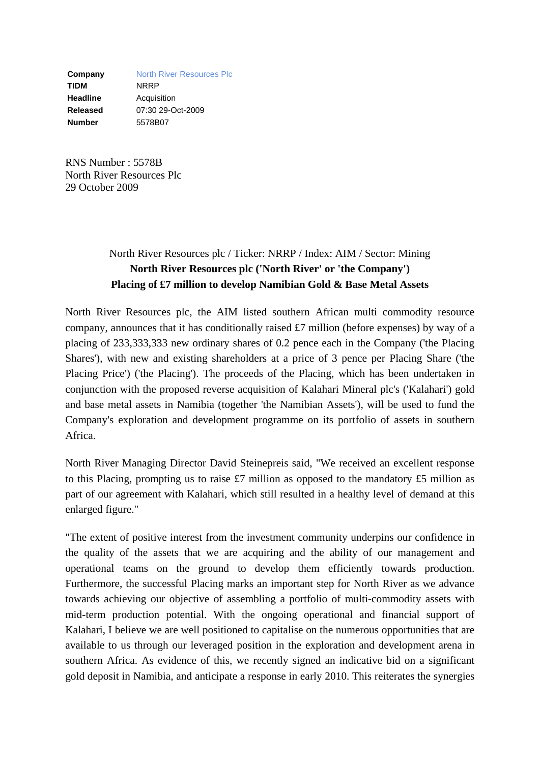**Company** North River Resources Plc **TIDM** NRRP **Headline Acquisition Released** 07:30 29-Oct-2009 **Number** 5578B07

RNS Number : 5578B North River Resources Plc 29 October 2009

# North River Resources plc / Ticker: NRRP / Index: AIM / Sector: Mining **North River Resources plc ('North River' or 'the Company') Placing of £7 million to develop Namibian Gold & Base Metal Assets**

North River Resources plc, the AIM listed southern African multi commodity resource company, announces that it has conditionally raised £7 million (before expenses) by way of a placing of 233,333,333 new ordinary shares of 0.2 pence each in the Company ('the Placing Shares'), with new and existing shareholders at a price of 3 pence per Placing Share ('the Placing Price') ('the Placing'). The proceeds of the Placing, which has been undertaken in conjunction with the proposed reverse acquisition of Kalahari Mineral plc's ('Kalahari') gold and base metal assets in Namibia (together 'the Namibian Assets'), will be used to fund the Company's exploration and development programme on its portfolio of assets in southern Africa.

North River Managing Director David Steinepreis said, "We received an excellent response to this Placing, prompting us to raise £7 million as opposed to the mandatory £5 million as part of our agreement with Kalahari, which still resulted in a healthy level of demand at this enlarged figure."

"The extent of positive interest from the investment community underpins our confidence in the quality of the assets that we are acquiring and the ability of our management and operational teams on the ground to develop them efficiently towards production. Furthermore, the successful Placing marks an important step for North River as we advance towards achieving our objective of assembling a portfolio of multi-commodity assets with mid-term production potential. With the ongoing operational and financial support of Kalahari, I believe we are well positioned to capitalise on the numerous opportunities that are available to us through our leveraged position in the exploration and development arena in southern Africa. As evidence of this, we recently signed an indicative bid on a significant gold deposit in Namibia, and anticipate a response in early 2010. This reiterates the synergies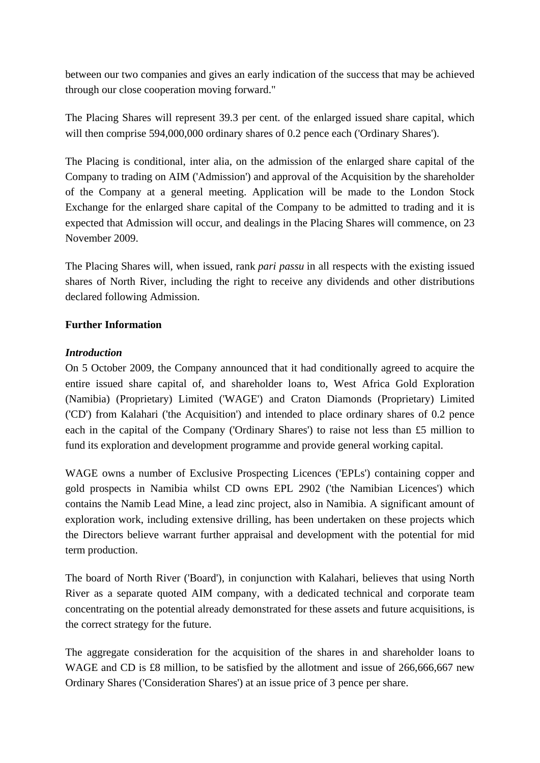between our two companies and gives an early indication of the success that may be achieved through our close cooperation moving forward."

The Placing Shares will represent 39.3 per cent. of the enlarged issued share capital, which will then comprise 594,000,000 ordinary shares of 0.2 pence each ('Ordinary Shares').

The Placing is conditional, inter alia, on the admission of the enlarged share capital of the Company to trading on AIM ('Admission') and approval of the Acquisition by the shareholder of the Company at a general meeting. Application will be made to the London Stock Exchange for the enlarged share capital of the Company to be admitted to trading and it is expected that Admission will occur, and dealings in the Placing Shares will commence, on 23 November 2009.

The Placing Shares will, when issued, rank *pari passu* in all respects with the existing issued shares of North River, including the right to receive any dividends and other distributions declared following Admission.

### **Further Information**

#### *Introduction*

On 5 October 2009, the Company announced that it had conditionally agreed to acquire the entire issued share capital of, and shareholder loans to, West Africa Gold Exploration (Namibia) (Proprietary) Limited ('WAGE') and Craton Diamonds (Proprietary) Limited ('CD') from Kalahari ('the Acquisition') and intended to place ordinary shares of 0.2 pence each in the capital of the Company ('Ordinary Shares') to raise not less than £5 million to fund its exploration and development programme and provide general working capital.

WAGE owns a number of Exclusive Prospecting Licences ('EPLs') containing copper and gold prospects in Namibia whilst CD owns EPL 2902 ('the Namibian Licences') which contains the Namib Lead Mine, a lead zinc project, also in Namibia. A significant amount of exploration work, including extensive drilling, has been undertaken on these projects which the Directors believe warrant further appraisal and development with the potential for mid term production.

The board of North River ('Board'), in conjunction with Kalahari, believes that using North River as a separate quoted AIM company, with a dedicated technical and corporate team concentrating on the potential already demonstrated for these assets and future acquisitions, is the correct strategy for the future.

The aggregate consideration for the acquisition of the shares in and shareholder loans to WAGE and CD is £8 million, to be satisfied by the allotment and issue of 266,666,667 new Ordinary Shares ('Consideration Shares') at an issue price of 3 pence per share.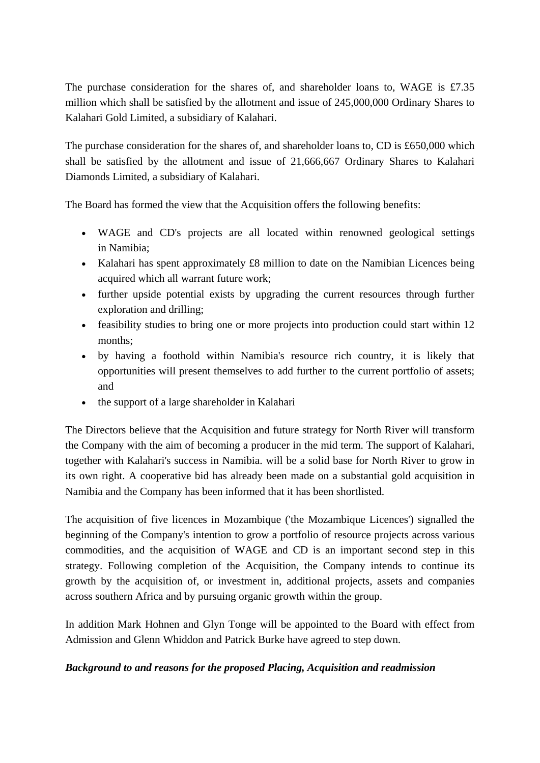The purchase consideration for the shares of, and shareholder loans to, WAGE is £7.35 million which shall be satisfied by the allotment and issue of 245,000,000 Ordinary Shares to Kalahari Gold Limited, a subsidiary of Kalahari.

The purchase consideration for the shares of, and shareholder loans to, CD is £650,000 which shall be satisfied by the allotment and issue of 21,666,667 Ordinary Shares to Kalahari Diamonds Limited, a subsidiary of Kalahari.

The Board has formed the view that the Acquisition offers the following benefits:

- WAGE and CD's projects are all located within renowned geological settings in Namibia;
- Kalahari has spent approximately £8 million to date on the Namibian Licences being acquired which all warrant future work;
- further upside potential exists by upgrading the current resources through further exploration and drilling;
- feasibility studies to bring one or more projects into production could start within 12 months;
- by having a foothold within Namibia's resource rich country, it is likely that opportunities will present themselves to add further to the current portfolio of assets; and
- the support of a large shareholder in Kalahari

The Directors believe that the Acquisition and future strategy for North River will transform the Company with the aim of becoming a producer in the mid term. The support of Kalahari, together with Kalahari's success in Namibia. will be a solid base for North River to grow in its own right. A cooperative bid has already been made on a substantial gold acquisition in Namibia and the Company has been informed that it has been shortlisted.

The acquisition of five licences in Mozambique ('the Mozambique Licences') signalled the beginning of the Company's intention to grow a portfolio of resource projects across various commodities, and the acquisition of WAGE and CD is an important second step in this strategy. Following completion of the Acquisition, the Company intends to continue its growth by the acquisition of, or investment in, additional projects, assets and companies across southern Africa and by pursuing organic growth within the group.

In addition Mark Hohnen and Glyn Tonge will be appointed to the Board with effect from Admission and Glenn Whiddon and Patrick Burke have agreed to step down.

#### *Background to and reasons for the proposed Placing, Acquisition and readmission*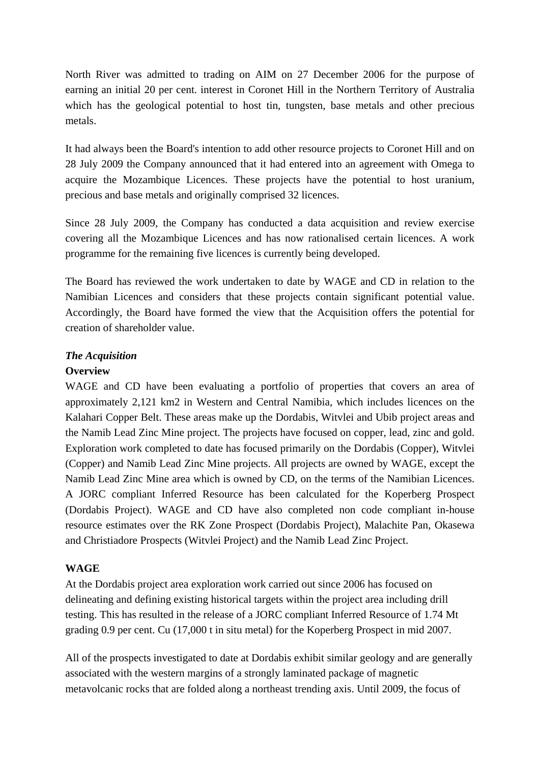North River was admitted to trading on AIM on 27 December 2006 for the purpose of earning an initial 20 per cent. interest in Coronet Hill in the Northern Territory of Australia which has the geological potential to host tin, tungsten, base metals and other precious metals.

It had always been the Board's intention to add other resource projects to Coronet Hill and on 28 July 2009 the Company announced that it had entered into an agreement with Omega to acquire the Mozambique Licences. These projects have the potential to host uranium, precious and base metals and originally comprised 32 licences.

Since 28 July 2009, the Company has conducted a data acquisition and review exercise covering all the Mozambique Licences and has now rationalised certain licences. A work programme for the remaining five licences is currently being developed.

The Board has reviewed the work undertaken to date by WAGE and CD in relation to the Namibian Licences and considers that these projects contain significant potential value. Accordingly, the Board have formed the view that the Acquisition offers the potential for creation of shareholder value.

### *The Acquisition*

#### **Overview**

WAGE and CD have been evaluating a portfolio of properties that covers an area of approximately 2,121 km2 in Western and Central Namibia, which includes licences on the Kalahari Copper Belt. These areas make up the Dordabis, Witvlei and Ubib project areas and the Namib Lead Zinc Mine project. The projects have focused on copper, lead, zinc and gold. Exploration work completed to date has focused primarily on the Dordabis (Copper), Witvlei (Copper) and Namib Lead Zinc Mine projects. All projects are owned by WAGE, except the Namib Lead Zinc Mine area which is owned by CD, on the terms of the Namibian Licences. A JORC compliant Inferred Resource has been calculated for the Koperberg Prospect (Dordabis Project). WAGE and CD have also completed non code compliant in-house resource estimates over the RK Zone Prospect (Dordabis Project), Malachite Pan, Okasewa and Christiadore Prospects (Witvlei Project) and the Namib Lead Zinc Project.

# **WAGE**

At the Dordabis project area exploration work carried out since 2006 has focused on delineating and defining existing historical targets within the project area including drill testing. This has resulted in the release of a JORC compliant Inferred Resource of 1.74 Mt grading 0.9 per cent. Cu (17,000 t in situ metal) for the Koperberg Prospect in mid 2007.

All of the prospects investigated to date at Dordabis exhibit similar geology and are generally associated with the western margins of a strongly laminated package of magnetic metavolcanic rocks that are folded along a northeast trending axis. Until 2009, the focus of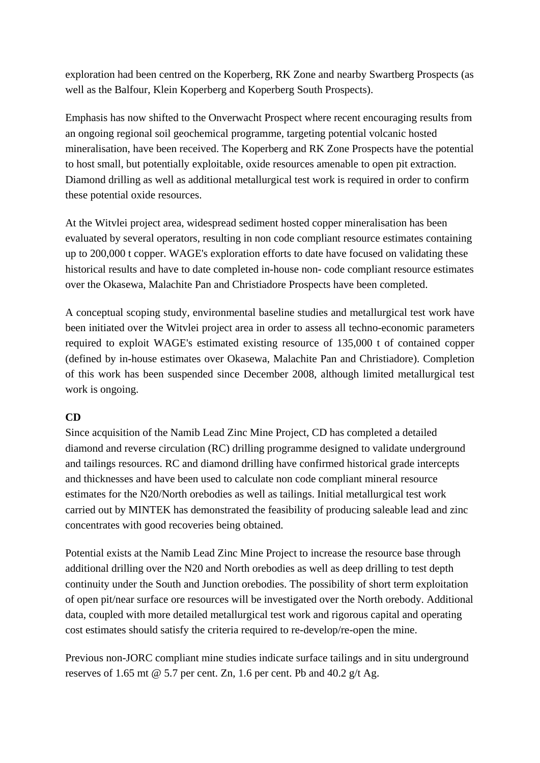exploration had been centred on the Koperberg, RK Zone and nearby Swartberg Prospects (as well as the Balfour, Klein Koperberg and Koperberg South Prospects).

Emphasis has now shifted to the Onverwacht Prospect where recent encouraging results from an ongoing regional soil geochemical programme, targeting potential volcanic hosted mineralisation, have been received. The Koperberg and RK Zone Prospects have the potential to host small, but potentially exploitable, oxide resources amenable to open pit extraction. Diamond drilling as well as additional metallurgical test work is required in order to confirm these potential oxide resources.

At the Witvlei project area, widespread sediment hosted copper mineralisation has been evaluated by several operators, resulting in non code compliant resource estimates containing up to 200,000 t copper. WAGE's exploration efforts to date have focused on validating these historical results and have to date completed in-house non- code compliant resource estimates over the Okasewa, Malachite Pan and Christiadore Prospects have been completed.

A conceptual scoping study, environmental baseline studies and metallurgical test work have been initiated over the Witvlei project area in order to assess all techno-economic parameters required to exploit WAGE's estimated existing resource of 135,000 t of contained copper (defined by in-house estimates over Okasewa, Malachite Pan and Christiadore). Completion of this work has been suspended since December 2008, although limited metallurgical test work is ongoing.

# **CD**

Since acquisition of the Namib Lead Zinc Mine Project, CD has completed a detailed diamond and reverse circulation (RC) drilling programme designed to validate underground and tailings resources. RC and diamond drilling have confirmed historical grade intercepts and thicknesses and have been used to calculate non code compliant mineral resource estimates for the N20/North orebodies as well as tailings. Initial metallurgical test work carried out by MINTEK has demonstrated the feasibility of producing saleable lead and zinc concentrates with good recoveries being obtained.

Potential exists at the Namib Lead Zinc Mine Project to increase the resource base through additional drilling over the N20 and North orebodies as well as deep drilling to test depth continuity under the South and Junction orebodies. The possibility of short term exploitation of open pit/near surface ore resources will be investigated over the North orebody. Additional data, coupled with more detailed metallurgical test work and rigorous capital and operating cost estimates should satisfy the criteria required to re-develop/re-open the mine.

Previous non-JORC compliant mine studies indicate surface tailings and in situ underground reserves of 1.65 mt  $\omega$  5.7 per cent. Zn, 1.6 per cent. Pb and 40.2 g/t Ag.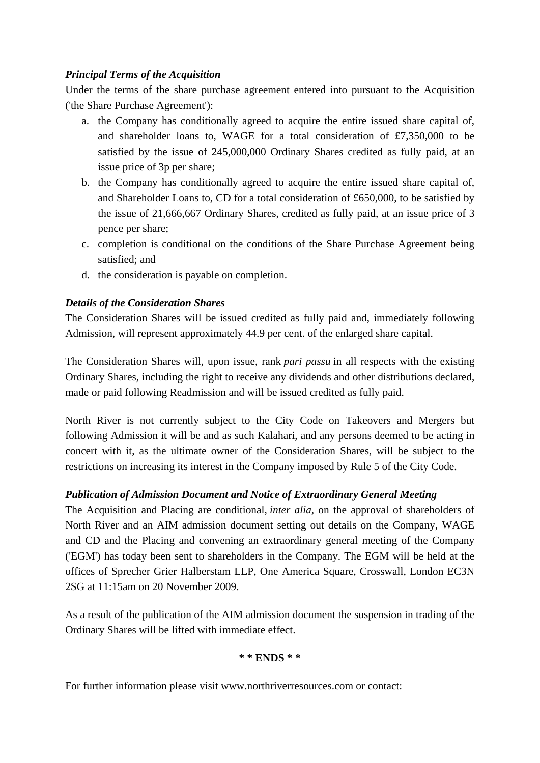### *Principal Terms of the Acquisition*

Under the terms of the share purchase agreement entered into pursuant to the Acquisition ('the Share Purchase Agreement'):

- a. the Company has conditionally agreed to acquire the entire issued share capital of, and shareholder loans to, WAGE for a total consideration of £7,350,000 to be satisfied by the issue of 245,000,000 Ordinary Shares credited as fully paid, at an issue price of 3p per share;
- b. the Company has conditionally agreed to acquire the entire issued share capital of, and Shareholder Loans to, CD for a total consideration of £650,000, to be satisfied by the issue of 21,666,667 Ordinary Shares, credited as fully paid, at an issue price of 3 pence per share;
- c. completion is conditional on the conditions of the Share Purchase Agreement being satisfied; and
- d. the consideration is payable on completion.

### *Details of the Consideration Shares*

The Consideration Shares will be issued credited as fully paid and, immediately following Admission, will represent approximately 44.9 per cent. of the enlarged share capital.

The Consideration Shares will, upon issue, rank *pari passu* in all respects with the existing Ordinary Shares, including the right to receive any dividends and other distributions declared, made or paid following Readmission and will be issued credited as fully paid.

North River is not currently subject to the City Code on Takeovers and Mergers but following Admission it will be and as such Kalahari, and any persons deemed to be acting in concert with it, as the ultimate owner of the Consideration Shares, will be subject to the restrictions on increasing its interest in the Company imposed by Rule 5 of the City Code.

# *Publication of Admission Document and Notice of Extraordinary General Meeting*

The Acquisition and Placing are conditional, *inter alia*, on the approval of shareholders of North River and an AIM admission document setting out details on the Company, WAGE and CD and the Placing and convening an extraordinary general meeting of the Company ('EGM') has today been sent to shareholders in the Company. The EGM will be held at the offices of Sprecher Grier Halberstam LLP, One America Square, Crosswall, London EC3N 2SG at 11:15am on 20 November 2009.

As a result of the publication of the AIM admission document the suspension in trading of the Ordinary Shares will be lifted with immediate effect.

# **\* \* ENDS \* \***

For further information please visit www.northriverresources.com or contact: